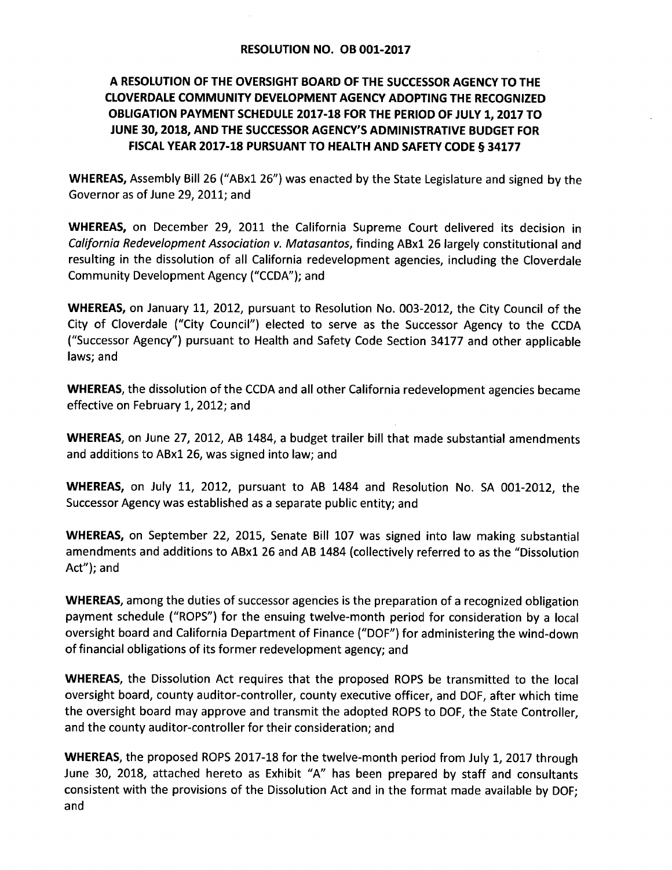## A RESOLUTION OF THE OVERSIGHT BOARD OF THE SUCCESSOR AGENCY TO THE **CLOVERDALE COMMUNITY DEVELOPMENT AGENCY ADOPTING THE RECOGNIZED** OBLIGATION PAYMENT SCHEDULE 2017-18 FOR THE PERIOD OF JULY 1, 2017 TO JUNE 30, 2018, AND THE SUCCESSOR AGENCY'S ADMINISTRATIVE BUDGET FOR FISCAL YEAR 2017-18 PURSUANT TO HEALTH AND SAFETY CODE § 34177

WHEREAS, Assembly Bill 26 ("ABx1 26") was enacted by the State Legislature and signed by the Governor as of June 29, 2011; and

**WHEREAS,** on December 29, 2011 the California Supreme Court delivered its decision in California Redevelopment Association v. Matasantos, finding ABx1 26 largely constitutional and resulting in the dissolution of all California redevelopment agencies, including the Cloverdale Community Development Agency ("CCDA"); and

WHEREAS, on January 11, 2012, pursuant to Resolution No. 003-2012, the City Council of the City of Cloverdale ("City Council") elected to serve as the Successor Agency to the CCDA ("Successor Agency") pursuant to Health and Safety Code Section 34177 and other applicable laws; and

**WHEREAS**, the dissolution of the CCDA and all other California redevelopment agencies became effective on February 1, 2012; and

WHEREAS, on June 27, 2012, AB 1484, a budget trailer bill that made substantial amendments and additions to ABx1 26, was signed into law; and

WHEREAS, on July 11, 2012, pursuant to AB 1484 and Resolution No. SA 001-2012, the Successor Agency was established as a separate public entity; and

WHEREAS, on September 22, 2015, Senate Bill 107 was signed into law making substantial amendments and additions to ABx1 26 and AB 1484 (collectively referred to as the "Dissolution Act"); and

WHEREAS, among the duties of successor agencies is the preparation of a recognized obligation payment schedule ("ROPS") for the ensuing twelve-month period for consideration by a local oversight board and California Department of Finance ("DOF") for administering the wind-down of financial obligations of its former redevelopment agency; and

**WHEREAS**, the Dissolution Act requires that the proposed ROPS be transmitted to the local oversight board, county auditor-controller, county executive officer, and DOF, after which time the oversight board may approve and transmit the adopted ROPS to DOF, the State Controller. and the county auditor-controller for their consideration; and

WHEREAS, the proposed ROPS 2017-18 for the twelve-month period from July 1, 2017 through June 30, 2018, attached hereto as Exhibit "A" has been prepared by staff and consultants consistent with the provisions of the Dissolution Act and in the format made available by DOF: and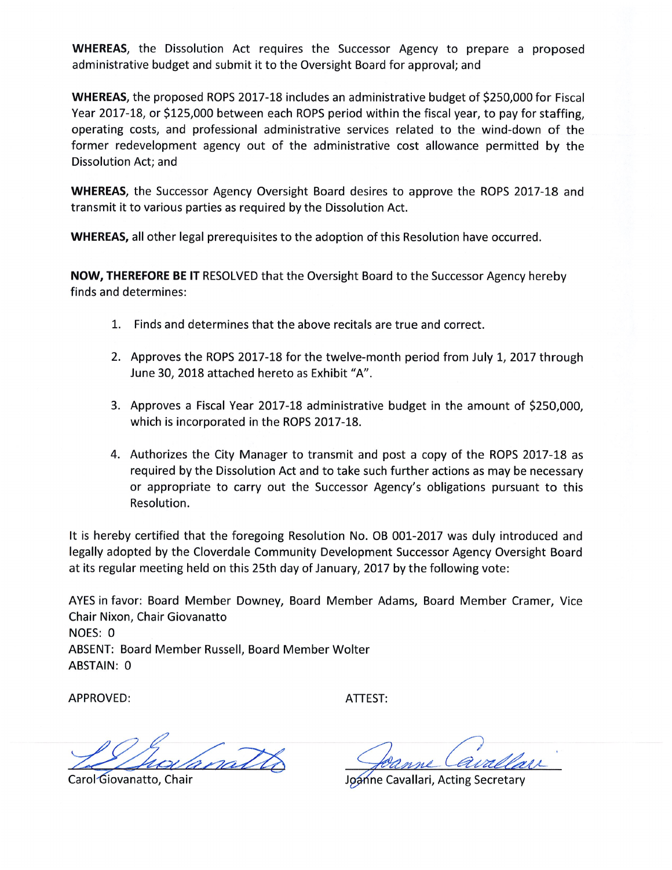**WHEREAS**, the Dissolution Act requires the Successor Agency to prepare a proposed administrative budget and submit it to the Oversight Board for approval; and

WHEREAS, the proposed ROPS 2017-18 includes an administrative budget of \$250,000 for Fiscal Year 2017-18, or \$125,000 between each ROPS period within the fiscal year, to pay for staffing, operating costs, and professional administrative services related to the wind-down of the former redevelopment agency out of the administrative cost allowance permitted by the Dissolution Act; and

**WHEREAS**, the Successor Agency Oversight Board desires to approve the ROPS 2017-18 and transmit it to various parties as required by the Dissolution Act.

WHEREAS, all other legal prerequisites to the adoption of this Resolution have occurred.

NOW, THEREFORE BE IT RESOLVED that the Oversight Board to the Successor Agency hereby finds and determines:

- 1. Finds and determines that the above recitals are true and correct.
- 2. Approves the ROPS 2017-18 for the twelve-month period from July 1, 2017 through June 30, 2018 attached hereto as Exhibit "A".
- 3. Approves a Fiscal Year 2017-18 administrative budget in the amount of \$250,000. which is incorporated in the ROPS 2017-18.
- 4. Authorizes the City Manager to transmit and post a copy of the ROPS 2017-18 as required by the Dissolution Act and to take such further actions as may be necessary or appropriate to carry out the Successor Agency's obligations pursuant to this Resolution.

It is hereby certified that the foregoing Resolution No. OB 001-2017 was duly introduced and legally adopted by the Cloverdale Community Development Successor Agency Oversight Board at its regular meeting held on this 25th day of January, 2017 by the following vote:

AYES in favor: Board Member Downey, Board Member Adams, Board Member Cramer, Vice Chair Nixon, Chair Giovanatto NOES: 0 ABSENT: Board Member Russell, Board Member Wolter ABSTAIN: 0

**APPROVED:** 

ATTEST:

natt

Carol Giovanatto, Chair

Joanne Cavallari, Acting Secretary